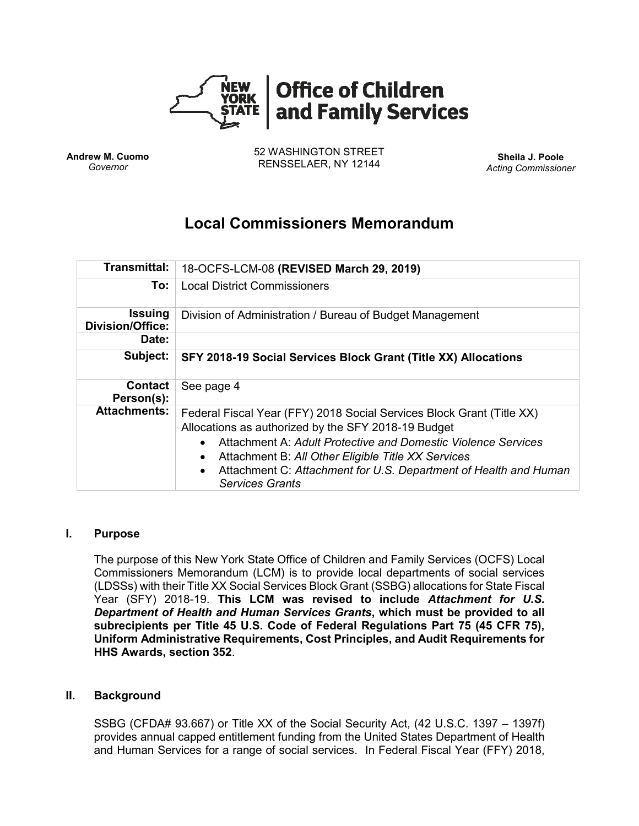

**Andrew M. Cuomo** *Governor*

52 WASHINGTON STREET RENSSELAER, NY 12144 **Sheila J. Poole**

*Acting Commissioner*

# **Local Commissioners Memorandum**

| <b>Transmittal:</b>                       | 18-OCFS-LCM-08 (REVISED March 29, 2019)                                                                                                                                                                                                                                                                                                           |
|-------------------------------------------|---------------------------------------------------------------------------------------------------------------------------------------------------------------------------------------------------------------------------------------------------------------------------------------------------------------------------------------------------|
| To:                                       | <b>Local District Commissioners</b>                                                                                                                                                                                                                                                                                                               |
| <b>Issuing</b><br><b>Division/Office:</b> | Division of Administration / Bureau of Budget Management                                                                                                                                                                                                                                                                                          |
| Date:                                     |                                                                                                                                                                                                                                                                                                                                                   |
| Subject:                                  | SFY 2018-19 Social Services Block Grant (Title XX) Allocations                                                                                                                                                                                                                                                                                    |
| <b>Contact</b><br>Person(s):              | See page 4                                                                                                                                                                                                                                                                                                                                        |
| <b>Attachments:</b>                       | Federal Fiscal Year (FFY) 2018 Social Services Block Grant (Title XX)<br>Allocations as authorized by the SFY 2018-19 Budget<br>Attachment A: Adult Protective and Domestic Violence Services<br>Attachment B: All Other Eligible Title XX Services<br>Attachment C: Attachment for U.S. Department of Health and Human<br><b>Services Grants</b> |

### **I. Purpose**

The purpose of this New York State Office of Children and Family Services (OCFS) Local Commissioners Memorandum (LCM) is to provide local departments of social services (LDSSs) with their Title XX Social Services Block Grant (SSBG) allocations for State Fiscal Year (SFY) 2018-19. **This LCM was revised to include** *Attachment for U.S. Department of Health and Human Services Grants***, which must be provided to all subrecipients per Title 45 U.S. Code of Federal Regulations Part 75 (45 CFR 75), Uniform Administrative Requirements, Cost Principles, and Audit Requirements for HHS Awards, section 352**.

#### **II. Background**

SSBG (CFDA# 93.667) or Title XX of the Social Security Act, (42 U.S.C. 1397 – 1397f) provides annual capped entitlement funding from the United States Department of Health and Human Services for a range of social services. In Federal Fiscal Year (FFY) 2018,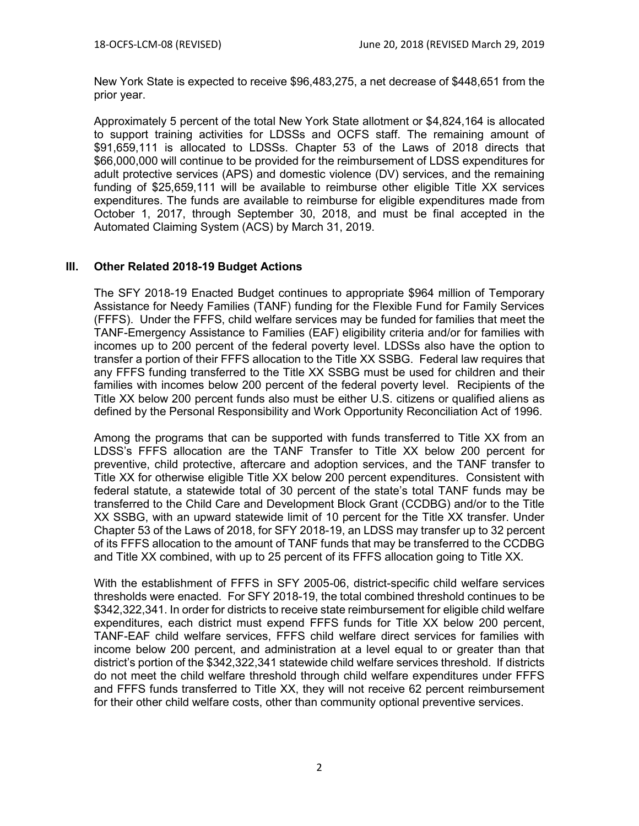New York State is expected to receive \$96,483,275, a net decrease of \$448,651 from the prior year.

Approximately 5 percent of the total New York State allotment or \$4,824,164 is allocated to support training activities for LDSSs and OCFS staff. The remaining amount of \$91,659,111 is allocated to LDSSs. Chapter 53 of the Laws of 2018 directs that \$66,000,000 will continue to be provided for the reimbursement of LDSS expenditures for adult protective services (APS) and domestic violence (DV) services, and the remaining funding of \$25,659,111 will be available to reimburse other eligible Title XX services expenditures. The funds are available to reimburse for eligible expenditures made from October 1, 2017, through September 30, 2018, and must be final accepted in the Automated Claiming System (ACS) by March 31, 2019.

#### **III. Other Related 2018-19 Budget Actions**

The SFY 2018-19 Enacted Budget continues to appropriate \$964 million of Temporary Assistance for Needy Families (TANF) funding for the Flexible Fund for Family Services (FFFS). Under the FFFS, child welfare services may be funded for families that meet the TANF-Emergency Assistance to Families (EAF) eligibility criteria and/or for families with incomes up to 200 percent of the federal poverty level. LDSSs also have the option to transfer a portion of their FFFS allocation to the Title XX SSBG. Federal law requires that any FFFS funding transferred to the Title XX SSBG must be used for children and their families with incomes below 200 percent of the federal poverty level. Recipients of the Title XX below 200 percent funds also must be either U.S. citizens or qualified aliens as defined by the Personal Responsibility and Work Opportunity Reconciliation Act of 1996.

Among the programs that can be supported with funds transferred to Title XX from an LDSS's FFFS allocation are the TANF Transfer to Title XX below 200 percent for preventive, child protective, aftercare and adoption services, and the TANF transfer to Title XX for otherwise eligible Title XX below 200 percent expenditures. Consistent with federal statute, a statewide total of 30 percent of the state's total TANF funds may be transferred to the Child Care and Development Block Grant (CCDBG) and/or to the Title XX SSBG, with an upward statewide limit of 10 percent for the Title XX transfer. Under Chapter 53 of the Laws of 2018, for SFY 2018-19, an LDSS may transfer up to 32 percent of its FFFS allocation to the amount of TANF funds that may be transferred to the CCDBG and Title XX combined, with up to 25 percent of its FFFS allocation going to Title XX.

With the establishment of FFFS in SFY 2005-06, district-specific child welfare services thresholds were enacted. For SFY 2018-19, the total combined threshold continues to be \$342,322,341. In order for districts to receive state reimbursement for eligible child welfare expenditures, each district must expend FFFS funds for Title XX below 200 percent, TANF-EAF child welfare services, FFFS child welfare direct services for families with income below 200 percent, and administration at a level equal to or greater than that district's portion of the \$342,322,341 statewide child welfare services threshold. If districts do not meet the child welfare threshold through child welfare expenditures under FFFS and FFFS funds transferred to Title XX, they will not receive 62 percent reimbursement for their other child welfare costs, other than community optional preventive services.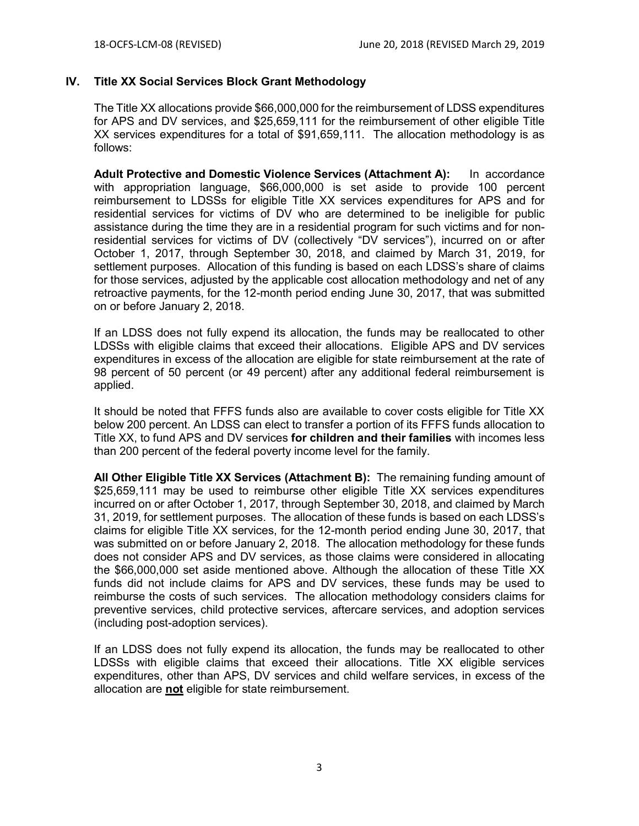### **IV. Title XX Social Services Block Grant Methodology**

The Title XX allocations provide \$66,000,000 for the reimbursement of LDSS expenditures for APS and DV services, and \$25,659,111 for the reimbursement of other eligible Title XX services expenditures for a total of \$91,659,111. The allocation methodology is as follows:

**Adult Protective and Domestic Violence Services (Attachment A):** In accordance with appropriation language, \$66,000,000 is set aside to provide 100 percent reimbursement to LDSSs for eligible Title XX services expenditures for APS and for residential services for victims of DV who are determined to be ineligible for public assistance during the time they are in a residential program for such victims and for nonresidential services for victims of DV (collectively "DV services"), incurred on or after October 1, 2017, through September 30, 2018, and claimed by March 31, 2019, for settlement purposes. Allocation of this funding is based on each LDSS's share of claims for those services, adjusted by the applicable cost allocation methodology and net of any retroactive payments, for the 12-month period ending June 30, 2017, that was submitted on or before January 2, 2018.

If an LDSS does not fully expend its allocation, the funds may be reallocated to other LDSSs with eligible claims that exceed their allocations. Eligible APS and DV services expenditures in excess of the allocation are eligible for state reimbursement at the rate of 98 percent of 50 percent (or 49 percent) after any additional federal reimbursement is applied.

It should be noted that FFFS funds also are available to cover costs eligible for Title XX below 200 percent. An LDSS can elect to transfer a portion of its FFFS funds allocation to Title XX, to fund APS and DV services **for children and their families** with incomes less than 200 percent of the federal poverty income level for the family.

**All Other Eligible Title XX Services (Attachment B):** The remaining funding amount of \$25,659,111 may be used to reimburse other eligible Title XX services expenditures incurred on or after October 1, 2017, through September 30, 2018, and claimed by March 31, 2019, for settlement purposes. The allocation of these funds is based on each LDSS's claims for eligible Title XX services, for the 12-month period ending June 30, 2017, that was submitted on or before January 2, 2018. The allocation methodology for these funds does not consider APS and DV services, as those claims were considered in allocating the \$66,000,000 set aside mentioned above. Although the allocation of these Title XX funds did not include claims for APS and DV services, these funds may be used to reimburse the costs of such services. The allocation methodology considers claims for preventive services, child protective services, aftercare services, and adoption services (including post-adoption services).

If an LDSS does not fully expend its allocation, the funds may be reallocated to other LDSSs with eligible claims that exceed their allocations. Title XX eligible services expenditures, other than APS, DV services and child welfare services, in excess of the allocation are **not** eligible for state reimbursement.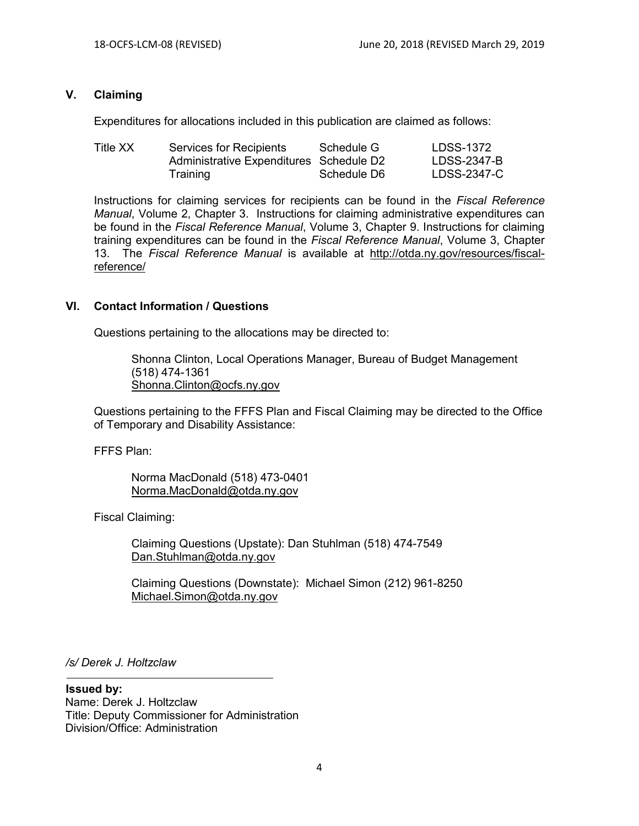#### **V. Claiming**

Expenditures for allocations included in this publication are claimed as follows:

| Title XX | Services for Recipients                 | Schedule G  | LDSS-1372   |
|----------|-----------------------------------------|-------------|-------------|
|          | Administrative Expenditures Schedule D2 |             | LDSS-2347-B |
|          | Training                                | Schedule D6 | LDSS-2347-C |

Instructions for claiming services for recipients can be found in the *Fiscal Reference Manual*, Volume 2, Chapter 3. Instructions for claiming administrative expenditures can be found in the *Fiscal Reference Manual*, Volume 3, Chapter 9. Instructions for claiming training expenditures can be found in the *Fiscal Reference Manual*, Volume 3, Chapter 13. The *Fiscal Reference Manual* is available at [http://otda.ny.gov/resources/fiscal](http://otda.ny.gov/resources/fiscal-reference/)[reference/](http://otda.ny.gov/resources/fiscal-reference/)

#### **VI. Contact Information / Questions**

Questions pertaining to the allocations may be directed to:

Shonna Clinton, Local Operations Manager, Bureau of Budget Management (518) 474-1361 [Shonna.Clinton@ocfs.ny.gov](mailto:Shonna.Clinton@ocfs.ny.gov)

Questions pertaining to the FFFS Plan and Fiscal Claiming may be directed to the Office of Temporary and Disability Assistance:

FFFS Plan:

Norma MacDonald (518) 473-0401 Norma.MacDonald@otda.ny.gov

Fiscal Claiming:

Claiming Questions (Upstate): Dan Stuhlman (518) 474-7549 [Dan.Stuhlman@otda.ny.gov](mailto:Dan.Stuhlman@otda.ny.gov)

Claiming Questions (Downstate): Michael Simon (212) 961-8250 [Michael.Simon@otda.ny.gov](mailto:Michael.Simon@otda.ny.gov)

*/s/ Derek J. Holtzclaw*

**Issued by:** Name: Derek J. Holtzclaw Title: Deputy Commissioner for Administration Division/Office: Administration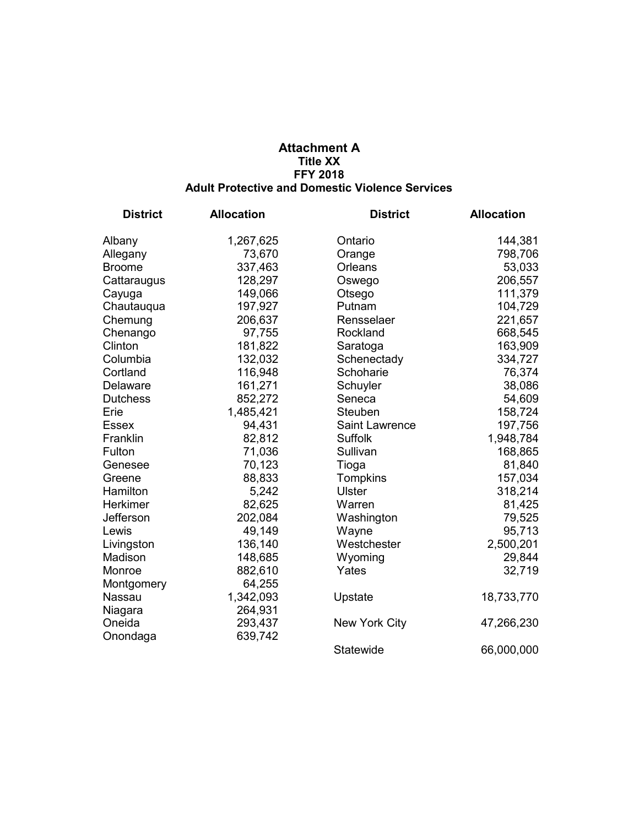#### **Attachment A Title XX FFY 2018 Adult Protective and Domestic Violence Services**

| <b>District</b> | <b>Allocation</b> | <b>District</b>      | <b>Allocation</b> |
|-----------------|-------------------|----------------------|-------------------|
| Albany          | 1,267,625         | Ontario              | 144,381           |
| Allegany        | 73,670            | Orange               | 798,706           |
| <b>Broome</b>   | 337,463           | Orleans              | 53,033            |
| Cattaraugus     | 128,297           | Oswego               | 206,557           |
| Cayuga          | 149,066           | Otsego               | 111,379           |
| Chautauqua      | 197,927           | Putnam               | 104,729           |
| Chemung         | 206,637           | Rensselaer           | 221,657           |
| Chenango        | 97,755            | Rockland             | 668,545           |
| Clinton         | 181,822           | Saratoga             | 163,909           |
| Columbia        | 132,032           | Schenectady          | 334,727           |
| Cortland        | 116,948           | Schoharie            | 76,374            |
| Delaware        | 161,271           | Schuyler             | 38,086            |
| <b>Dutchess</b> | 852,272           | Seneca               | 54,609            |
| Erie            | 1,485,421         | Steuben              | 158,724           |
| <b>Essex</b>    | 94,431            | Saint Lawrence       | 197,756           |
| Franklin        | 82,812            | Suffolk              | 1,948,784         |
| Fulton          | 71,036            | Sullivan             | 168,865           |
| Genesee         | 70,123            | Tioga                | 81,840            |
| Greene          | 88,833            | Tompkins             | 157,034           |
| Hamilton        | 5,242             | <b>Ulster</b>        | 318,214           |
| Herkimer        | 82,625            | Warren               | 81,425            |
| Jefferson       | 202,084           | Washington           | 79,525            |
| Lewis           | 49,149            | Wayne                | 95,713            |
| Livingston      | 136,140           | Westchester          | 2,500,201         |
| Madison         | 148,685           | Wyoming              | 29,844            |
| Monroe          | 882,610           | Yates                | 32,719            |
| Montgomery      | 64,255            |                      |                   |
| Nassau          | 1,342,093         | Upstate              | 18,733,770        |
| Niagara         | 264,931           |                      |                   |
| Oneida          | 293,437           | <b>New York City</b> | 47,266,230        |
| Onondaga        | 639,742           |                      |                   |
|                 |                   | Statewide            | 66,000,000        |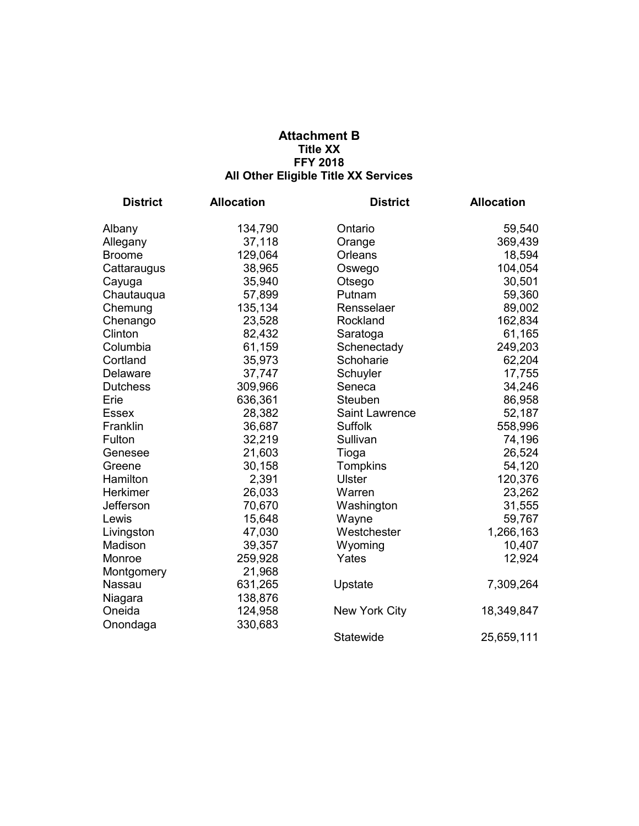## **Attachment B Title XX FFY 2018 All Other Eligible Title XX Services**

| <b>District</b> | <b>Allocation</b> | <b>District</b>      | <b>Allocation</b> |
|-----------------|-------------------|----------------------|-------------------|
| Albany          | 134,790           | Ontario              | 59,540            |
| Allegany        | 37,118            | Orange               | 369,439           |
| <b>Broome</b>   | 129,064           | Orleans              | 18,594            |
| Cattaraugus     | 38,965            | Oswego               | 104,054           |
| Cayuga          | 35,940            | Otsego               | 30,501            |
| Chautauqua      | 57,899            | Putnam               | 59,360            |
| Chemung         | 135,134           | Rensselaer           | 89,002            |
| Chenango        | 23,528            | Rockland             | 162,834           |
| Clinton         | 82,432            | Saratoga             | 61,165            |
| Columbia        | 61,159            | Schenectady          | 249,203           |
| Cortland        | 35,973            | Schoharie            | 62,204            |
| Delaware        | 37,747            | Schuyler             | 17,755            |
| <b>Dutchess</b> | 309,966           | Seneca               | 34,246            |
| Erie            | 636,361           | Steuben              | 86,958            |
| <b>Essex</b>    | 28,382            | Saint Lawrence       | 52,187            |
| Franklin        | 36,687            | <b>Suffolk</b>       | 558,996           |
| Fulton          | 32,219            | Sullivan             | 74,196            |
| Genesee         | 21,603            | Tioga                | 26,524            |
| Greene          | 30,158            | Tompkins             | 54,120            |
| Hamilton        | 2,391             | <b>Ulster</b>        | 120,376           |
| Herkimer        | 26,033            | Warren               | 23,262            |
| Jefferson       | 70,670            | Washington           | 31,555            |
| Lewis           | 15,648            | Wayne                | 59,767            |
| Livingston      | 47,030            | Westchester          | 1,266,163         |
| Madison         | 39,357            | Wyoming              | 10,407            |
| Monroe          | 259,928           | Yates                | 12,924            |
| Montgomery      | 21,968            |                      |                   |
| Nassau          | 631,265           | Upstate              | 7,309,264         |
| Niagara         | 138,876           |                      |                   |
| Oneida          | 124,958           | <b>New York City</b> | 18,349,847        |
| Onondaga        | 330,683           |                      |                   |
|                 |                   | Statewide            | 25,659,111        |